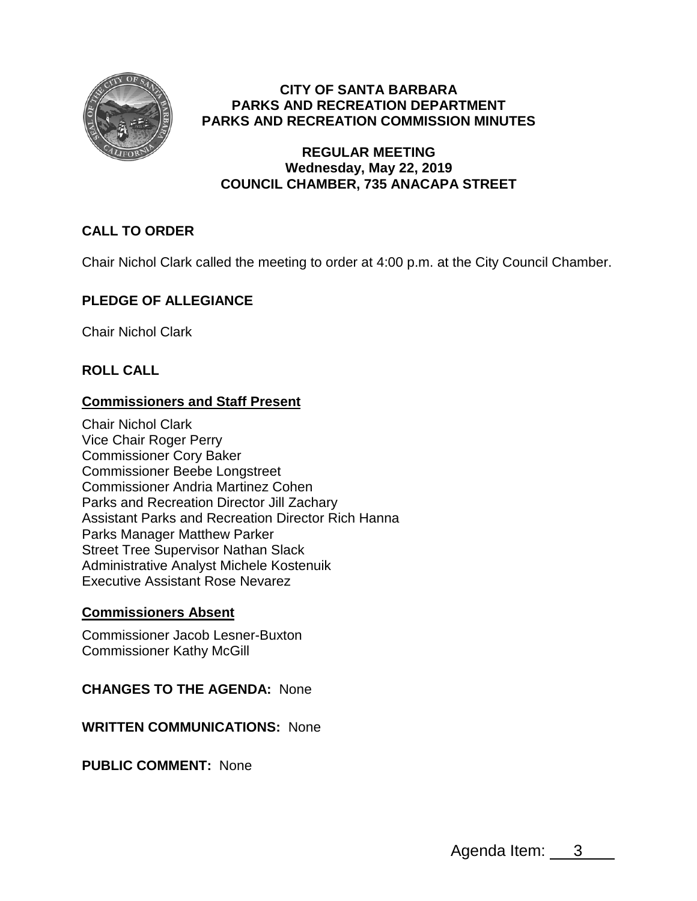

## **CITY OF SANTA BARBARA PARKS AND RECREATION DEPARTMENT PARKS AND RECREATION COMMISSION MINUTES**

### **REGULAR MEETING Wednesday, May 22, 2019 COUNCIL CHAMBER, 735 ANACAPA STREET**

# **CALL TO ORDER**

Chair Nichol Clark called the meeting to order at 4:00 p.m. at the City Council Chamber.

## **PLEDGE OF ALLEGIANCE**

Chair Nichol Clark

## **ROLL CALL**

## **Commissioners and Staff Present**

Chair Nichol Clark Vice Chair Roger Perry Commissioner Cory Baker Commissioner Beebe Longstreet Commissioner Andria Martinez Cohen Parks and Recreation Director Jill Zachary Assistant Parks and Recreation Director Rich Hanna Parks Manager Matthew Parker Street Tree Supervisor Nathan Slack Administrative Analyst Michele Kostenuik Executive Assistant Rose Nevarez

## **Commissioners Absent**

Commissioner Jacob Lesner-Buxton Commissioner Kathy McGill

#### **CHANGES TO THE AGENDA:** None

#### **WRITTEN COMMUNICATIONS:** None

**PUBLIC COMMENT:** None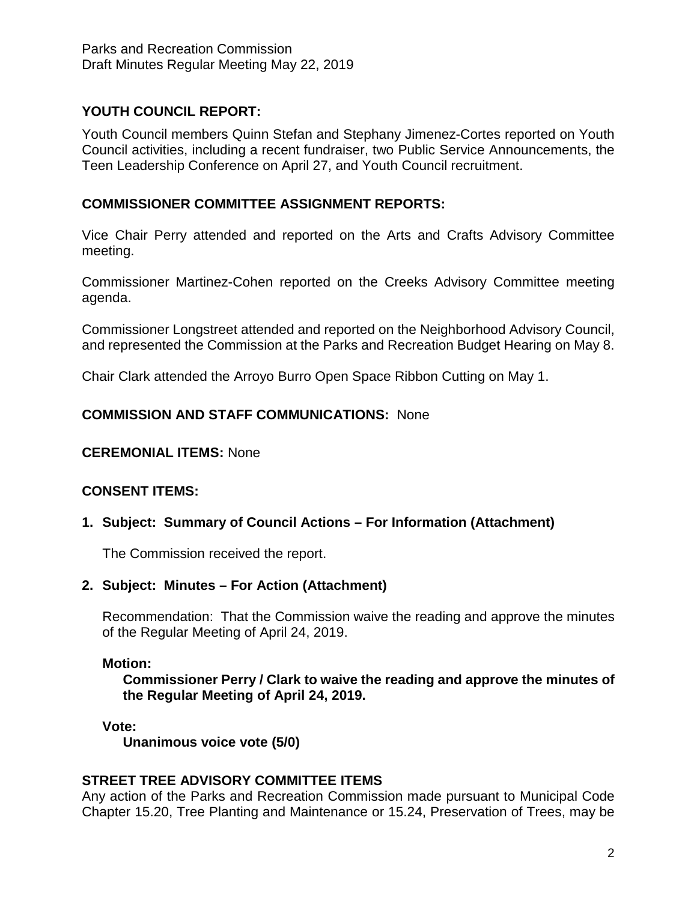## **YOUTH COUNCIL REPORT:**

Youth Council members Quinn Stefan and Stephany Jimenez-Cortes reported on Youth Council activities, including a recent fundraiser, two Public Service Announcements, the Teen Leadership Conference on April 27, and Youth Council recruitment.

### **COMMISSIONER COMMITTEE ASSIGNMENT REPORTS:**

Vice Chair Perry attended and reported on the Arts and Crafts Advisory Committee meeting.

Commissioner Martinez-Cohen reported on the Creeks Advisory Committee meeting agenda.

Commissioner Longstreet attended and reported on the Neighborhood Advisory Council, and represented the Commission at the Parks and Recreation Budget Hearing on May 8.

Chair Clark attended the Arroyo Burro Open Space Ribbon Cutting on May 1.

## **COMMISSION AND STAFF COMMUNICATIONS:** None

#### **CEREMONIAL ITEMS:** None

#### **CONSENT ITEMS:**

#### **1. Subject: Summary of Council Actions – For Information (Attachment)**

The Commission received the report.

#### **2. Subject: Minutes – For Action (Attachment)**

Recommendation: That the Commission waive the reading and approve the minutes of the Regular Meeting of April 24, 2019.

#### **Motion:**

**Commissioner Perry / Clark to waive the reading and approve the minutes of the Regular Meeting of April 24, 2019.**

#### **Vote:**

**Unanimous voice vote (5/0)**

#### **STREET TREE ADVISORY COMMITTEE ITEMS**

Any action of the Parks and Recreation Commission made pursuant to Municipal Code Chapter 15.20, Tree Planting and Maintenance or 15.24, Preservation of Trees, may be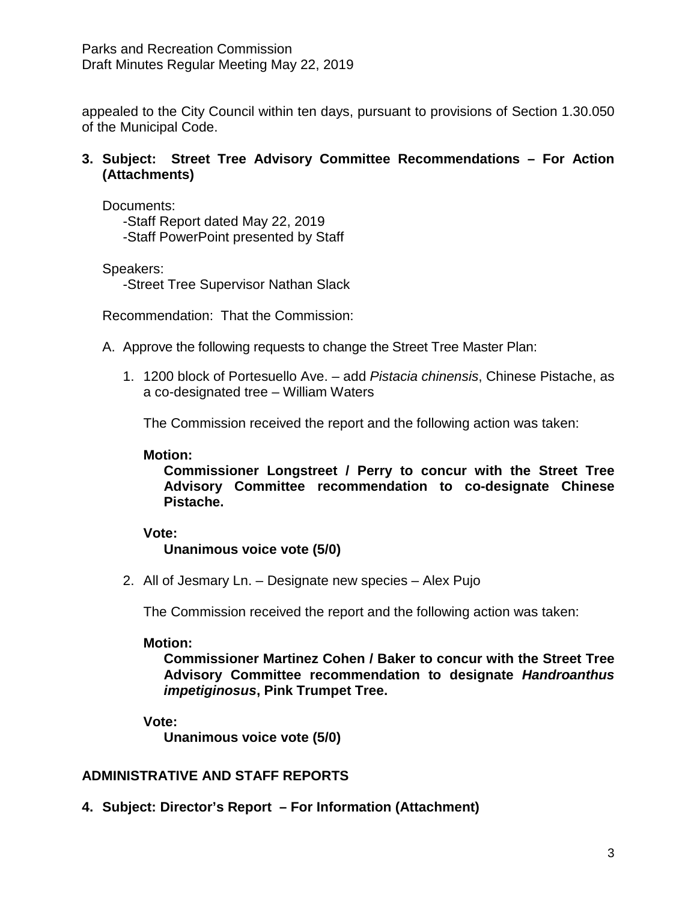appealed to the City Council within ten days, pursuant to provisions of Section 1.30.050 of the Municipal Code.

### **3. Subject: Street Tree Advisory Committee Recommendations – For Action (Attachments)**

Documents:

-Staff Report dated May 22, 2019 -Staff PowerPoint presented by Staff

Speakers:

-Street Tree Supervisor Nathan Slack

Recommendation: That the Commission:

- A. Approve the following requests to change the Street Tree Master Plan:
	- 1. 1200 block of Portesuello Ave. add *Pistacia chinensis*, Chinese Pistache, as a co-designated tree – William Waters

The Commission received the report and the following action was taken:

### **Motion:**

**Commissioner Longstreet / Perry to concur with the Street Tree Advisory Committee recommendation to co-designate Chinese Pistache.**

## **Vote:**

**Unanimous voice vote (5/0)**

2. All of Jesmary Ln. – Designate new species – Alex Pujo

The Commission received the report and the following action was taken:

#### **Motion:**

**Commissioner Martinez Cohen / Baker to concur with the Street Tree Advisory Committee recommendation to designate** *Handroanthus impetiginosus***, Pink Trumpet Tree.**

#### **Vote:**

**Unanimous voice vote (5/0)**

## **ADMINISTRATIVE AND STAFF REPORTS**

**4. Subject: Director's Report – For Information (Attachment)**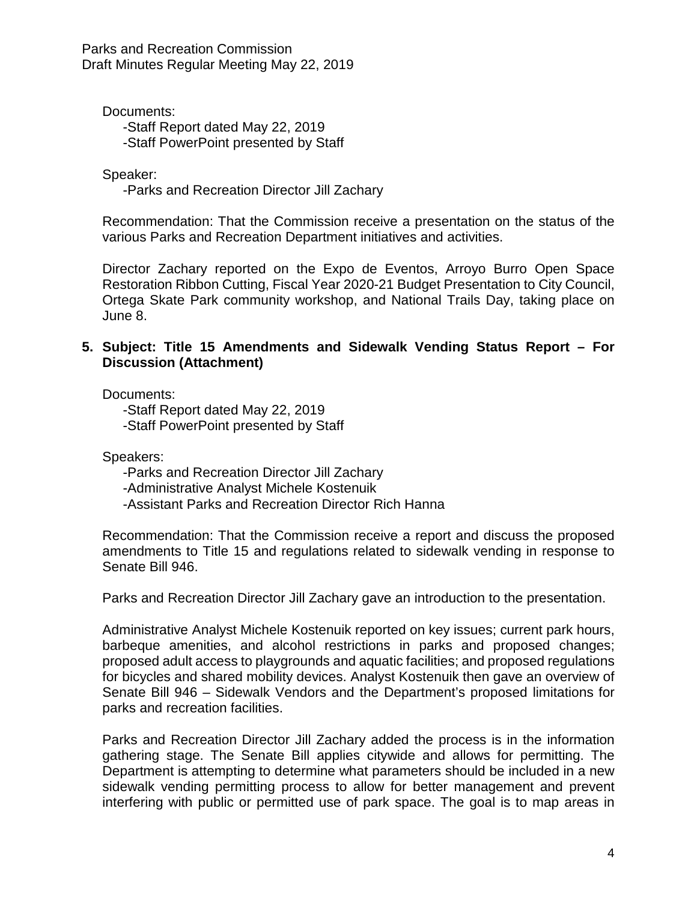Parks and Recreation Commission Draft Minutes Regular Meeting May 22, 2019

Documents: -Staff Report dated May 22, 2019 -Staff PowerPoint presented by Staff

Speaker:

-Parks and Recreation Director Jill Zachary

Recommendation: That the Commission receive a presentation on the status of the various Parks and Recreation Department initiatives and activities.

Director Zachary reported on the Expo de Eventos, Arroyo Burro Open Space Restoration Ribbon Cutting, Fiscal Year 2020-21 Budget Presentation to City Council, Ortega Skate Park community workshop, and National Trails Day, taking place on June 8.

### **5. Subject: Title 15 Amendments and Sidewalk Vending Status Report – For Discussion (Attachment)**

Documents:

-Staff Report dated May 22, 2019 -Staff PowerPoint presented by Staff

Speakers:

-Parks and Recreation Director Jill Zachary

-Administrative Analyst Michele Kostenuik

-Assistant Parks and Recreation Director Rich Hanna

Recommendation: That the Commission receive a report and discuss the proposed amendments to Title 15 and regulations related to sidewalk vending in response to Senate Bill 946.

Parks and Recreation Director Jill Zachary gave an introduction to the presentation.

Administrative Analyst Michele Kostenuik reported on key issues; current park hours, barbeque amenities, and alcohol restrictions in parks and proposed changes; proposed adult access to playgrounds and aquatic facilities; and proposed regulations for bicycles and shared mobility devices. Analyst Kostenuik then gave an overview of Senate Bill 946 – Sidewalk Vendors and the Department's proposed limitations for parks and recreation facilities.

Parks and Recreation Director Jill Zachary added the process is in the information gathering stage. The Senate Bill applies citywide and allows for permitting. The Department is attempting to determine what parameters should be included in a new sidewalk vending permitting process to allow for better management and prevent interfering with public or permitted use of park space. The goal is to map areas in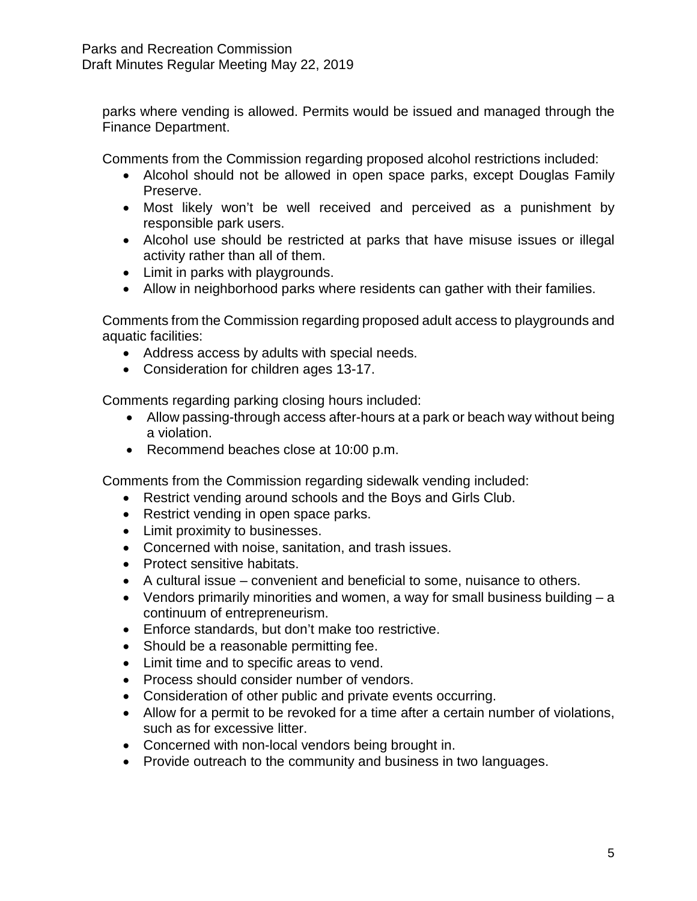parks where vending is allowed. Permits would be issued and managed through the Finance Department.

Comments from the Commission regarding proposed alcohol restrictions included:

- Alcohol should not be allowed in open space parks, except Douglas Family Preserve.
- Most likely won't be well received and perceived as a punishment by responsible park users.
- Alcohol use should be restricted at parks that have misuse issues or illegal activity rather than all of them.
- Limit in parks with playgrounds.
- Allow in neighborhood parks where residents can gather with their families.

Comments from the Commission regarding proposed adult access to playgrounds and aquatic facilities:

- Address access by adults with special needs.
- Consideration for children ages 13-17.

Comments regarding parking closing hours included:

- Allow passing-through access after-hours at a park or beach way without being a violation.
- Recommend beaches close at 10:00 p.m.

Comments from the Commission regarding sidewalk vending included:

- Restrict vending around schools and the Boys and Girls Club.
- Restrict vending in open space parks.
- Limit proximity to businesses.
- Concerned with noise, sanitation, and trash issues.
- Protect sensitive habitats.
- A cultural issue convenient and beneficial to some, nuisance to others.
- Vendors primarily minorities and women, a way for small business building a continuum of entrepreneurism.
- Enforce standards, but don't make too restrictive.
- Should be a reasonable permitting fee.
- Limit time and to specific areas to vend.
- Process should consider number of vendors.
- Consideration of other public and private events occurring.
- Allow for a permit to be revoked for a time after a certain number of violations, such as for excessive litter.
- Concerned with non-local vendors being brought in.
- Provide outreach to the community and business in two languages.